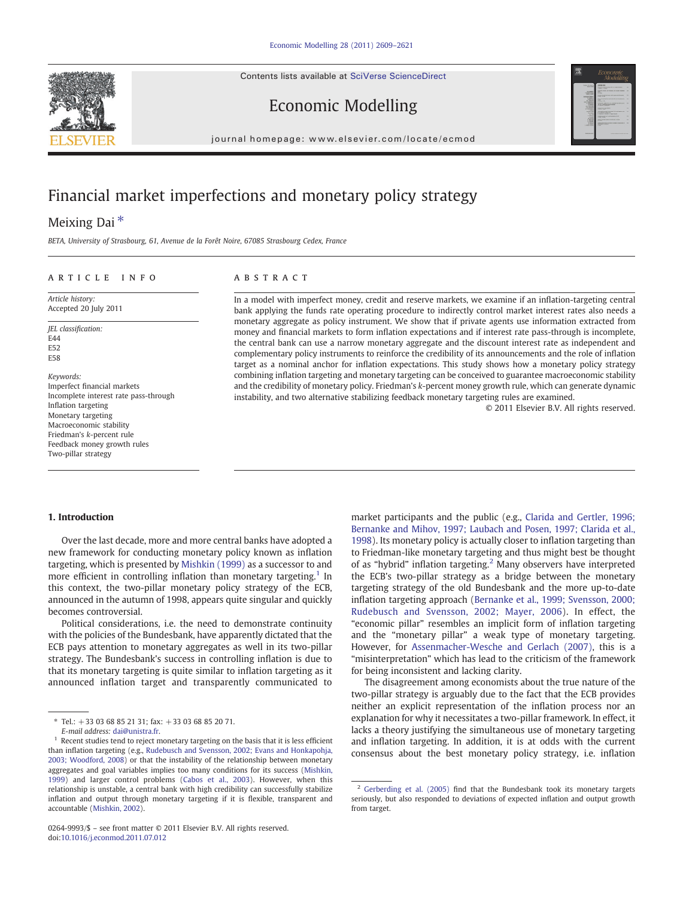Contents lists available at [SciVerse ScienceDirect](http://www.sciencedirect.com/science/journal/02649993)





Economic Modelling

journal homepage: www.elsevier.com/locate/ecmod

## Financial market imperfections and monetary policy strategy

## Meixing Dai<sup>\*</sup>

BETA, University of Strasbourg, 61, Avenue de la Forêt Noire, 67085 Strasbourg Cedex, France

### article info abstract

Article history: Accepted 20 July 2011

JEL classification: E44 E52 E58

Keywords: Imperfect financial markets Incomplete interest rate pass-through Inflation targeting Monetary targeting Macroeconomic stability Friedman's k-percent rule Feedback money growth rules Two-pillar strategy

In a model with imperfect money, credit and reserve markets, we examine if an inflation-targeting central bank applying the funds rate operating procedure to indirectly control market interest rates also needs a monetary aggregate as policy instrument. We show that if private agents use information extracted from money and financial markets to form inflation expectations and if interest rate pass-through is incomplete, the central bank can use a narrow monetary aggregate and the discount interest rate as independent and complementary policy instruments to reinforce the credibility of its announcements and the role of inflation target as a nominal anchor for inflation expectations. This study shows how a monetary policy strategy combining inflation targeting and monetary targeting can be conceived to guarantee macroeconomic stability and the credibility of monetary policy. Friedman's k-percent money growth rule, which can generate dynamic instability, and two alternative stabilizing feedback monetary targeting rules are examined.

© 2011 Elsevier B.V. All rights reserved.

### 1. Introduction

Over the last decade, more and more central banks have adopted a new framework for conducting monetary policy known as inflation targeting, which is presented by [Mishkin \(1999\)](#page--1-0) as a successor to and more efficient in controlling inflation than monetary targeting.<sup>1</sup> In this context, the two-pillar monetary policy strategy of the ECB, announced in the autumn of 1998, appears quite singular and quickly becomes controversial.

Political considerations, i.e. the need to demonstrate continuity with the policies of the Bundesbank, have apparently dictated that the ECB pays attention to monetary aggregates as well in its two-pillar strategy. The Bundesbank's success in controlling inflation is due to that its monetary targeting is quite similar to inflation targeting as it announced inflation target and transparently communicated to

E-mail address: [dai@unistra.fr](mailto:dai@unistra.fr).

market participants and the public (e.g., [Clarida and Gertler, 1996;](#page--1-0) [Bernanke and Mihov, 1997; Laubach and Posen, 1997; Clarida et al.,](#page--1-0) [1998\)](#page--1-0). Its monetary policy is actually closer to inflation targeting than to Friedman-like monetary targeting and thus might best be thought of as "hybrid" inflation targeting.<sup>2</sup> Many observers have interpreted the ECB's two-pillar strategy as a bridge between the monetary targeting strategy of the old Bundesbank and the more up-to-date inflation targeting approach [\(Bernanke et al., 1999; Svensson, 2000;](#page--1-0) [Rudebusch and Svensson, 2002; Mayer, 2006\)](#page--1-0). In effect, the "economic pillar" resembles an implicit form of inflation targeting and the "monetary pillar" a weak type of monetary targeting. However, for [Assenmacher-Wesche and Gerlach \(2007\),](#page--1-0) this is a "misinterpretation" which has lead to the criticism of the framework for being inconsistent and lacking clarity.

The disagreement among economists about the true nature of the two-pillar strategy is arguably due to the fact that the ECB provides neither an explicit representation of the inflation process nor an explanation for why it necessitates a two-pillar framework. In effect, it lacks a theory justifying the simultaneous use of monetary targeting and inflation targeting. In addition, it is at odds with the current consensus about the best monetary policy strategy, i.e. inflation

<sup>⁎</sup> Tel.: +33 03 68 85 21 31; fax: +33 03 68 85 20 71.

 $^{\rm 1}$  Recent studies tend to reject monetary targeting on the basis that it is less efficient than inflation targeting (e.g., [Rudebusch and Svensson, 2002; Evans and Honkapohja,](#page--1-0) [2003; Woodford, 2008\)](#page--1-0) or that the instability of the relationship between monetary aggregates and goal variables implies too many conditions for its success ([Mishkin,](#page--1-0) [1999](#page--1-0)) and larger control problems ([Cabos et al., 2003\)](#page--1-0). However, when this relationship is unstable, a central bank with high credibility can successfully stabilize inflation and output through monetary targeting if it is flexible, transparent and accountable [\(Mishkin, 2002\)](#page--1-0).

<sup>0264-9993/\$</sup> – see front matter © 2011 Elsevier B.V. All rights reserved. doi:[10.1016/j.econmod.2011.07.012](http://dx.doi.org/10.1016/j.econmod.2011.07.012)

<sup>&</sup>lt;sup>2</sup> [Gerberding et al. \(2005\)](#page--1-0) find that the Bundesbank took its monetary targets seriously, but also responded to deviations of expected inflation and output growth from target.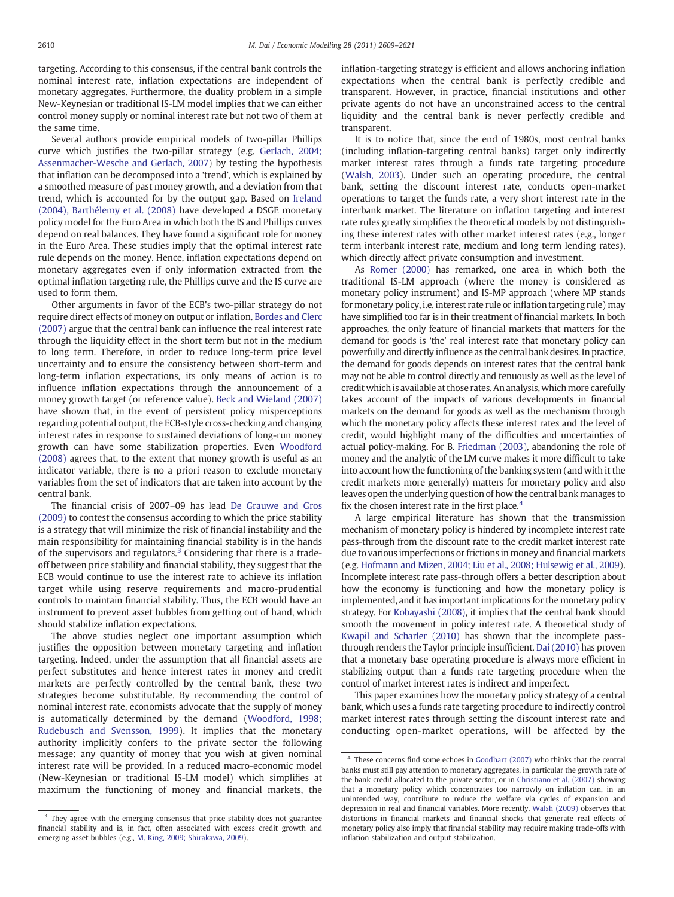targeting. According to this consensus, if the central bank controls the nominal interest rate, inflation expectations are independent of monetary aggregates. Furthermore, the duality problem in a simple New-Keynesian or traditional IS-LM model implies that we can either control money supply or nominal interest rate but not two of them at the same time.

Several authors provide empirical models of two-pillar Phillips curve which justifies the two-pillar strategy (e.g. [Gerlach, 2004;](#page--1-0) [Assenmacher-Wesche and Gerlach, 2007](#page--1-0)) by testing the hypothesis that inflation can be decomposed into a 'trend', which is explained by a smoothed measure of past money growth, and a deviation from that trend, which is accounted for by the output gap. Based on [Ireland](#page--1-0) [\(2004\), Barthélemy et al. \(2008\)](#page--1-0) have developed a DSGE monetary policy model for the Euro Area in which both the IS and Phillips curves depend on real balances. They have found a significant role for money in the Euro Area. These studies imply that the optimal interest rate rule depends on the money. Hence, inflation expectations depend on monetary aggregates even if only information extracted from the optimal inflation targeting rule, the Phillips curve and the IS curve are used to form them.

Other arguments in favor of the ECB's two-pillar strategy do not require direct effects of money on output or inflation. [Bordes and Clerc](#page--1-0) [\(2007\)](#page--1-0) argue that the central bank can influence the real interest rate through the liquidity effect in the short term but not in the medium to long term. Therefore, in order to reduce long-term price level uncertainty and to ensure the consistency between short-term and long-term inflation expectations, its only means of action is to influence inflation expectations through the announcement of a money growth target (or reference value). [Beck and Wieland \(2007\)](#page--1-0) have shown that, in the event of persistent policy misperceptions regarding potential output, the ECB-style cross-checking and changing interest rates in response to sustained deviations of long-run money growth can have some stabilization properties. Even [Woodford](#page--1-0) [\(2008\)](#page--1-0) agrees that, to the extent that money growth is useful as an indicator variable, there is no a priori reason to exclude monetary variables from the set of indicators that are taken into account by the central bank.

The financial crisis of 2007–09 has lead [De Grauwe and Gros](#page--1-0) [\(2009\)](#page--1-0) to contest the consensus according to which the price stability is a strategy that will minimize the risk of financial instability and the main responsibility for maintaining financial stability is in the hands of the supervisors and regulators.<sup>3</sup> Considering that there is a tradeoff between price stability and financial stability, they suggest that the ECB would continue to use the interest rate to achieve its inflation target while using reserve requirements and macro-prudential controls to maintain financial stability. Thus, the ECB would have an instrument to prevent asset bubbles from getting out of hand, which should stabilize inflation expectations.

The above studies neglect one important assumption which justifies the opposition between monetary targeting and inflation targeting. Indeed, under the assumption that all financial assets are perfect substitutes and hence interest rates in money and credit markets are perfectly controlled by the central bank, these two strategies become substitutable. By recommending the control of nominal interest rate, economists advocate that the supply of money is automatically determined by the demand ([Woodford, 1998;](#page--1-0) [Rudebusch and Svensson, 1999](#page--1-0)). It implies that the monetary authority implicitly confers to the private sector the following message: any quantity of money that you wish at given nominal interest rate will be provided. In a reduced macro-economic model (New-Keynesian or traditional IS-LM model) which simplifies at maximum the functioning of money and financial markets, the

inflation-targeting strategy is efficient and allows anchoring inflation expectations when the central bank is perfectly credible and transparent. However, in practice, financial institutions and other private agents do not have an unconstrained access to the central liquidity and the central bank is never perfectly credible and transparent.

It is to notice that, since the end of 1980s, most central banks (including inflation-targeting central banks) target only indirectly market interest rates through a funds rate targeting procedure [\(Walsh, 2003](#page--1-0)). Under such an operating procedure, the central bank, setting the discount interest rate, conducts open-market operations to target the funds rate, a very short interest rate in the interbank market. The literature on inflation targeting and interest rate rules greatly simplifies the theoretical models by not distinguishing these interest rates with other market interest rates (e.g., longer term interbank interest rate, medium and long term lending rates), which directly affect private consumption and investment.

As [Romer \(2000\)](#page--1-0) has remarked, one area in which both the traditional IS-LM approach (where the money is considered as monetary policy instrument) and IS-MP approach (where MP stands for monetary policy, i.e. interest rate rule or inflation targeting rule) may have simplified too far is in their treatment of financial markets. In both approaches, the only feature of financial markets that matters for the demand for goods is 'the' real interest rate that monetary policy can powerfully and directly influence as the central bank desires. In practice, the demand for goods depends on interest rates that the central bank may not be able to control directly and tenuously as well as the level of credit which is available at those rates. An analysis, which more carefully takes account of the impacts of various developments in financial markets on the demand for goods as well as the mechanism through which the monetary policy affects these interest rates and the level of credit, would highlight many of the difficulties and uncertainties of actual policy-making. For B. [Friedman \(2003\),](#page--1-0) abandoning the role of money and the analytic of the LM curve makes it more difficult to take into account how the functioning of the banking system (and with it the credit markets more generally) matters for monetary policy and also leaves open the underlying question of how the central bank manages to fix the chosen interest rate in the first place. $4$ 

A large empirical literature has shown that the transmission mechanism of monetary policy is hindered by incomplete interest rate pass-through from the discount rate to the credit market interest rate due to various imperfections or frictions in money and financial markets (e.g. [Hofmann and Mizen, 2004; Liu et al., 2008; Hulsewig et al., 2009\)](#page--1-0). Incomplete interest rate pass-through offers a better description about how the economy is functioning and how the monetary policy is implemented, and it has important implications for the monetary policy strategy. For [Kobayashi \(2008\),](#page--1-0) it implies that the central bank should smooth the movement in policy interest rate. A theoretical study of [Kwapil and Scharler \(2010\)](#page--1-0) has shown that the incomplete passthrough renders the Taylor principle insufficient. [Dai \(2010\)](#page--1-0) has proven that a monetary base operating procedure is always more efficient in stabilizing output than a funds rate targeting procedure when the control of market interest rates is indirect and imperfect.

This paper examines how the monetary policy strategy of a central bank, which uses a funds rate targeting procedure to indirectly control market interest rates through setting the discount interest rate and conducting open-market operations, will be affected by the

 $3$  They agree with the emerging consensus that price stability does not guarantee financial stability and is, in fact, often associated with excess credit growth and emerging asset bubbles (e.g., [M. King, 2009; Shirakawa, 2009](#page--1-0)).

<sup>&</sup>lt;sup>4</sup> These concerns find some echoes in [Goodhart \(2007\)](#page--1-0) who thinks that the central banks must still pay attention to monetary aggregates, in particular the growth rate of the bank credit allocated to the private sector, or in [Christiano et al](#page--1-0). (2007) showing that a monetary policy which concentrates too narrowly on inflation can, in an unintended way, contribute to reduce the welfare via cycles of expansion and depression in real and financial variables. More recently, [Walsh \(2009\)](#page--1-0) observes that distortions in financial markets and financial shocks that generate real effects of monetary policy also imply that financial stability may require making trade-offs with inflation stabilization and output stabilization.